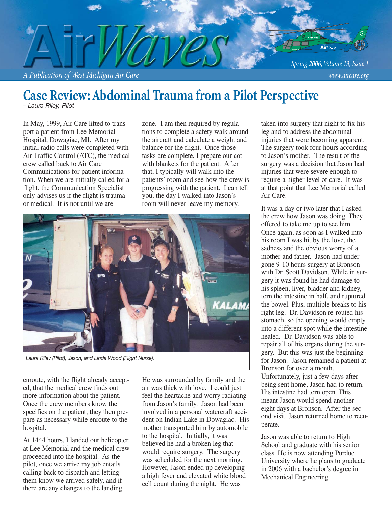

## **Case Review: Abdominal Trauma from a Pilot Perspective**

*– Laura Riley, Pilot*

In May, 1999, Air Care lifted to transport a patient from Lee Memorial Hospital, Dowagiac, MI. After my initial radio calls were completed with Air Traffic Control (ATC), the medical crew called back to Air Care Communications for patient information. When we are initially called for a flight, the Communication Specialist only advises us if the flight is trauma or medical. It is not until we are

zone. I am then required by regulations to complete a safety walk around the aircraft and calculate a weight and balance for the flight. Once those tasks are complete, I prepare our cot with blankets for the patient. After that, I typically will walk into the patients' room and see how the crew is progressing with the patient. I can tell you, the day I walked into Jason's room will never leave my memory.



*Laura Riley (Pilot), Jason, and Linda Wood (Flight Nurse).*

enroute, with the flight already accepted, that the medical crew finds out more information about the patient. Once the crew members know the specifics on the patient, they then prepare as necessary while enroute to the hospital.

At 1444 hours, I landed our helicopter at Lee Memorial and the medical crew proceeded into the hospital. As the pilot, once we arrive my job entails calling back to dispatch and letting them know we arrived safely, and if there are any changes to the landing

He was surrounded by family and the air was thick with love. I could just feel the heartache and worry radiating from Jason's family. Jason had been involved in a personal watercraft accident on Indian Lake in Dowagiac. His mother transported him by automobile to the hospital. Initially, it was believed he had a broken leg that would require surgery. The surgery was scheduled for the next morning. However, Jason ended up developing a high fever and elevated white blood cell count during the night. He was

taken into surgery that night to fix his leg and to address the abdominal injuries that were becoming apparent. The surgery took four hours according to Jason's mother. The result of the surgery was a decision that Jason had injuries that were severe enough to require a higher level of care. It was at that point that Lee Memorial called Air Care.

It was a day or two later that I asked the crew how Jason was doing. They offered to take me up to see him. Once again, as soon as I walked into his room I was hit by the love, the sadness and the obvious worry of a mother and father. Jason had undergone 9-10 hours surgery at Bronson with Dr. Scott Davidson. While in surgery it was found he had damage to his spleen, liver, bladder and kidney, torn the intestine in half, and ruptured the bowel. Plus, multiple breaks to his right leg. Dr. Davidson re-routed his stomach, so the opening would empty into a different spot while the intestine healed. Dr. Davidson was able to repair all of his organs during the surgery. But this was just the beginning for Jason. Jason remained a patient at Bronson for over a month. Unfortunately, just a few days after being sent home, Jason had to return. His intestine had torn open. This meant Jason would spend another eight days at Bronson. After the second visit, Jason returned home to recuperate.

Jason was able to return to High School and graduate with his senior class. He is now attending Purdue University where he plans to graduate in 2006 with a bachelor's degree in Mechanical Engineering.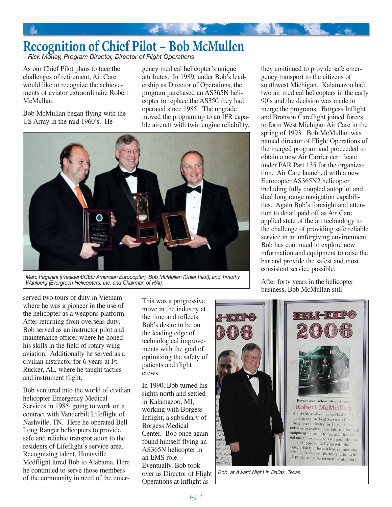# **Recognition of Chief Pilot – Bob McMullen**

*– Rick Morley, Program Director, Director of Flight Operations*

As our Chief Pilot plans to face the challenges of retirement, Air Care would like to recognize the achievements of aviator extraordinaire Robert McMullan.

Bob McMullan began flying with the US Army in the mid 1960's. He

gency medical helicopter's unique attributes. In 1989, under Bob's leadership as Director of Operations, the program purchased an AS365N helicopter to replace the AS350 they had operated since 1985. The upgrade moved the program up to an IFR capable aircraft with twin engine reliability.



*Marc Paganini (President/CEO Amercian Eurocopter), Bob McMullen (Chief Pilot), and Timothy Wahlberg (Evergreen Helicopters, Inc. and Chairman of HAI).*

they continued to provide safe emergency transport to the citizens of southwest Michigan. Kalamazoo had two air medical helicopters in the early 90's and the decision was made to merge the programs. Borgess Inflight and Bronson Careflight joined forces to form West Michigan Air Care in the spring of 1993. Bob McMullan was named director of Flight Operations of the merged program and proceeded to obtain a new Air Carrier certificate under FAR Part 135 for the organization. Air Care launched with a new Eurocopter AS365N2 helicopter including fully coupled autopilot and dual long range navigation capabilities. Again Bob's foresight and attention to detail paid off as Air Care applied state of the art technology to the challenge of providing safe reliable service in an unforgiving environment. Bob has continued to explore new information and equipment to raise the bar and provide the safest and most consistent service possible.

After forty years in the helicopter business, Bob McMullan still

served two tours of duty in Vietnam where he was a pioneer in the use of the helicopter as a weapons platform. After returning from overseas duty, Bob served as an instructor pilot and maintenance officer where he honed his skills in the field of rotary wing aviation. Additionally he served as a civilian instructor for 6 years at Ft. Rucker, AL, where he taught tactics and instrument flight.

Bob ventured into the world of civilian helicopter Emergency Medical Services in 1985, going to work on a contract with Vanderbilt Lifeflight of Nashville, TN. Here he operated Bell Long Ranger helicopters to provide safe and reliable transportation to the residents of Lifeflight's service area. Recognizing talent, Huntsville Medflight lured Bob to Alabama. Here he continued to serve those members of the community in need of the emerThis was a progressive move in the industry at the time and reflects Bob's desire to be on the leading edge of technological improvements with the goal of optimizing the safety of patients and flight crews.

In 1990, Bob turned his sights north and settled in Kalamazoo, MI, working with Borgess Inflight, a subsidiary of Borgess Medical Center. Bob once again found himself flying an AS365N helicopter in an EMS role. Eventually, Bob took over as Director of Flight Operations at Inflight as



*Bob at Award Night in Dallas, Texas.*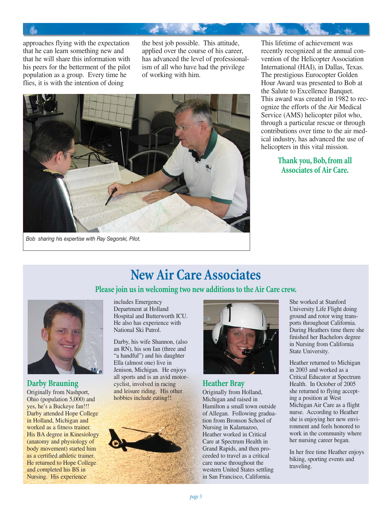approaches flying with the expectation that he can learn something new and that he will share this information with his peers for the betterment of the pilot population as a group. Every time he flies, it is with the intention of doing

the best job possible. This attitude, applied over the course of his career, has advanced the level of professionalism of all who have had the privilege of working with him.



This lifetime of achievement was recently recognized at the annual convention of the Helicopter Association International (HAI), in Dallas, Texas. The prestigious Eurocopter Golden Hour Award was presented to Bob at the Salute to Excellence Banquet. This award was created in 1982 to recognize the efforts of the Air Medical Service (AMS) helicopter pilot who, through a particular rescue or through contributions over time to the air medical industry, has advanced the use of helicopters in this vital mission.

> **Thank you, Bob, from all Associates of Air Care.**

*Bob sharing his expertise with Ray Segorski, Pilot.*

## **New Air Care Associates**

**Please join us in welcoming two new additions to the Air Care crew.**



### **Darby Brauning**

Originally from Nashport, Ohio (population 5,000) and yes, he's a Buckeye fan!!! Darby attended Hope College in Holland, Michigan and worked as a fitness trainer. His BA degree in Kinesiology (anatomy and physiology of body movement) started him as a certified athletic trainer. He returned to Hope College and completed his BS in Nursing. His experience

includes Emergency Department at Holland Hospital and Butterworth ICU. He also has experience with National Ski Patrol.

Darby, his wife Shannon, (also an RN), his son Ian (three and "a handful") and his daughter Ella (almost one) live in Jenison, Michigan. He enjoys all sports and is an avid motorcyclist, involved in racing and leisure riding. His other hobbies include eating!!





### **Heather Bray**

Originally from Holland, Michigan and raised in Hamilton a small town outside of Allegan. Following graduation from Bronson School of Nursing in Kalamazoo, Heather worked in Critical Care at Spectrum Health in Grand Rapids, and then proceeded to travel as a critical care nurse throughout the western United States settling in San Francisco, California.

She worked at Stanford University Life Flight doing ground and rotor wing transports throughout California. During Heathers time there she finished her Bachelors degree in Nursing from California State University.

Heather returned to Michigan in 2003 and worked as a Critical Educator at Spectrum Health. In October of 2005 she returned to flying accepting a position at West Michigan Air Care as a flight nurse. According to Heather she is enjoying her new environment and feels honored to work in the community where her nursing career began.

In her free time Heather enjoys biking, sporting events and traveling.